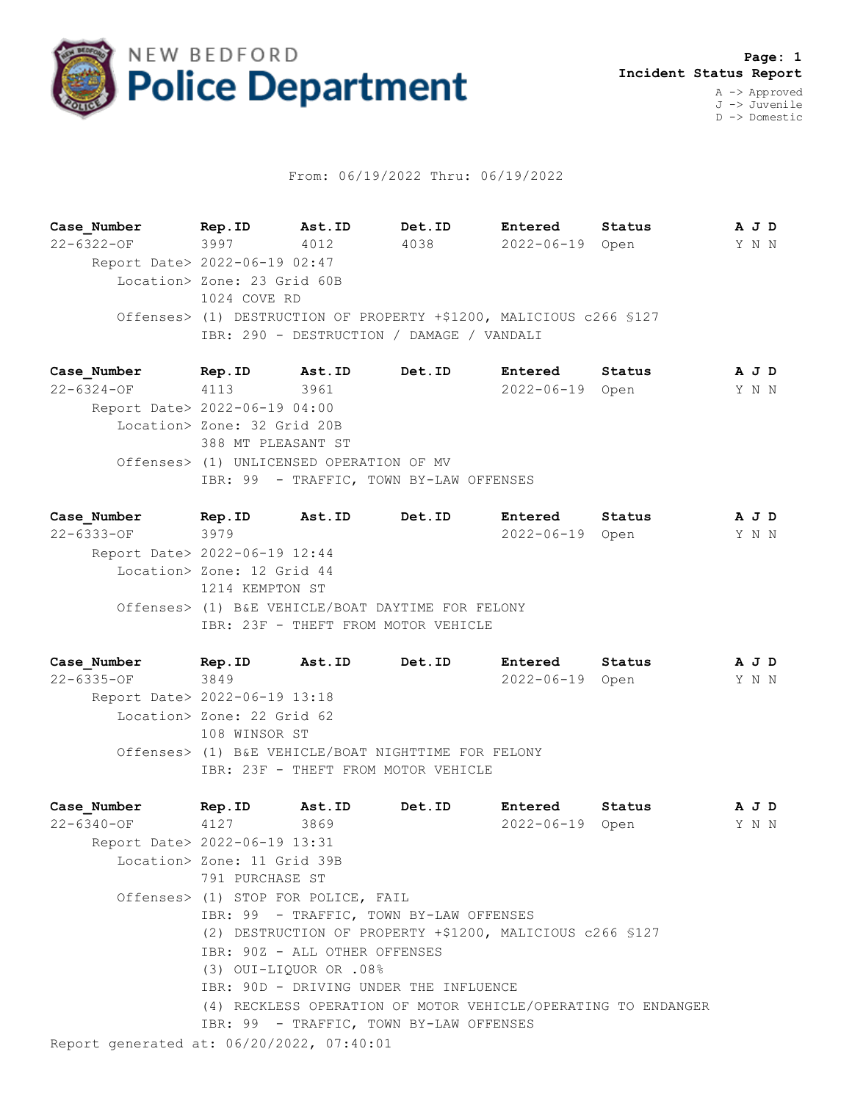

## From: 06/19/2022 Thru: 06/19/2022

**Case\_Number Rep.ID Ast.ID Det.ID Entered Status A J D** 22-6322-OF 3997 4012 4038 2022-06-19 Open Y N N Report Date> 2022-06-19 02:47 Location> Zone: 23 Grid 60B 1024 COVE RD Offenses> (1) DESTRUCTION OF PROPERTY +\$1200, MALICIOUS c266 §127 IBR: 290 - DESTRUCTION / DAMAGE / VANDALI

**Case\_Number Rep.ID Ast.ID Det.ID Entered Status A J D** 22-6324-OF 4113 3961 2022-06-19 Open Y N N Report Date> 2022-06-19 04:00 Location> Zone: 32 Grid 20B 388 MT PLEASANT ST Offenses> (1) UNLICENSED OPERATION OF MV IBR: 99 - TRAFFIC, TOWN BY-LAW OFFENSES

**Case\_Number Rep.ID Ast.ID Det.ID Entered Status A J D** 22-6333-OF 3979 2022-06-19 Open Y N N Report Date> 2022-06-19 12:44 Location> Zone: 12 Grid 44 1214 KEMPTON ST Offenses> (1) B&E VEHICLE/BOAT DAYTIME FOR FELONY IBR: 23F - THEFT FROM MOTOR VEHICLE

**Case\_Number Rep.ID Ast.ID Det.ID Entered Status A J D** 22-6335-OF 3849 2022-06-19 Open Y N N Report Date> 2022-06-19 13:18 Location> Zone: 22 Grid 62 108 WINSOR ST Offenses> (1) B&E VEHICLE/BOAT NIGHTTIME FOR FELONY IBR: 23F - THEFT FROM MOTOR VEHICLE

Report generated at: 06/20/2022, 07:40:01 **Case\_Number Rep.ID Ast.ID Det.ID Entered Status A J D** 22-6340-OF 4127 3869 2022-06-19 Open Y N N Report Date> 2022-06-19 13:31 Location> Zone: 11 Grid 39B 791 PURCHASE ST Offenses> (1) STOP FOR POLICE, FAIL IBR: 99 - TRAFFIC, TOWN BY-LAW OFFENSES (2) DESTRUCTION OF PROPERTY +\$1200, MALICIOUS c266 §127 IBR: 90Z - ALL OTHER OFFENSES (3) OUI-LIQUOR OR .08% IBR: 90D - DRIVING UNDER THE INFLUENCE (4) RECKLESS OPERATION OF MOTOR VEHICLE/OPERATING TO ENDANGER IBR: 99 - TRAFFIC, TOWN BY-LAW OFFENSES